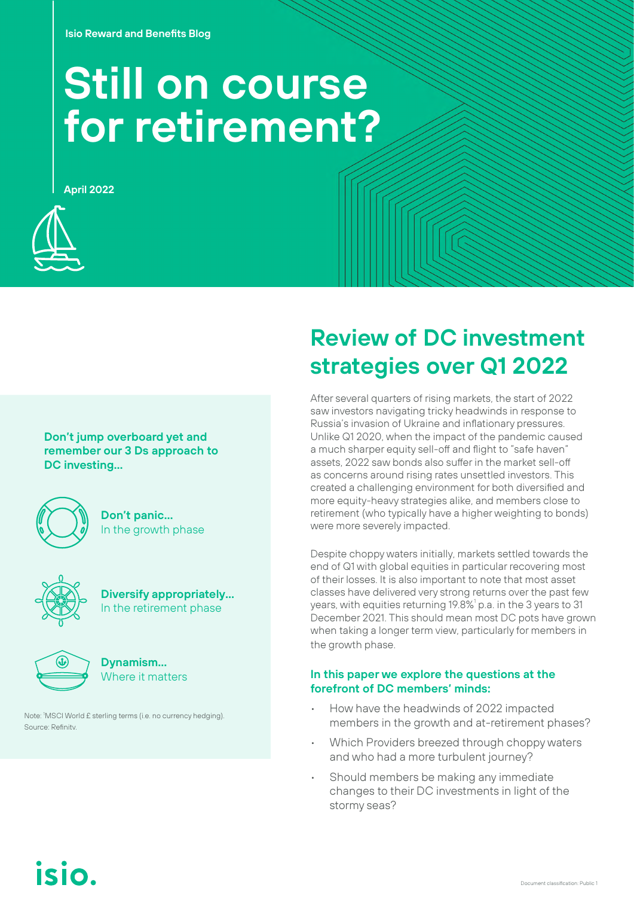**Isio Reward and Benefits Blog**

# **Still on course for retirement?**

**April 2022**



**Don't jump overboard yet and remember our 3 Ds approach to DC investing…**



**Don't panic…** In the growth phase



**Diversify appropriately…** In the retirement phase



**Dynamism…** Where it matters

Note: 1 MSCI World £ sterling terms (i.e. no currency hedging). Source: Refinitv.

## **Review of DC investment strategies over Q1 2022**

After several quarters of rising markets, the start of 2022 saw investors navigating tricky headwinds in response to Russia's invasion of Ukraine and inflationary pressures. Unlike Q1 2020, when the impact of the pandemic caused a much sharper equity sell-off and flight to "safe haven" assets, 2022 saw bonds also suffer in the market sell-off as concerns around rising rates unsettled investors. This created a challenging environment for both diversified and more equity-heavy strategies alike, and members close to retirement (who typically have a higher weighting to bonds) were more severely impacted.

Despite choppy waters initially, markets settled towards the end of Q1 with global equities in particular recovering most of their losses. It is also important to note that most asset classes have delivered very strong returns over the past few years, with equities returning 19.8% $^{\rm t}$  p.a. in the 3 years to 31 December 2021. This should mean most DC pots have grown when taking a longer term view, particularly for members in the growth phase.

### **In this paper we explore the questions at the forefront of DC members' minds:**

- How have the headwinds of 2022 impacted members in the growth and at-retirement phases?
- Which Providers breezed through choppy waters and who had a more turbulent journey?
- Should members be making any immediate changes to their DC investments in light of the stormy seas?

isio.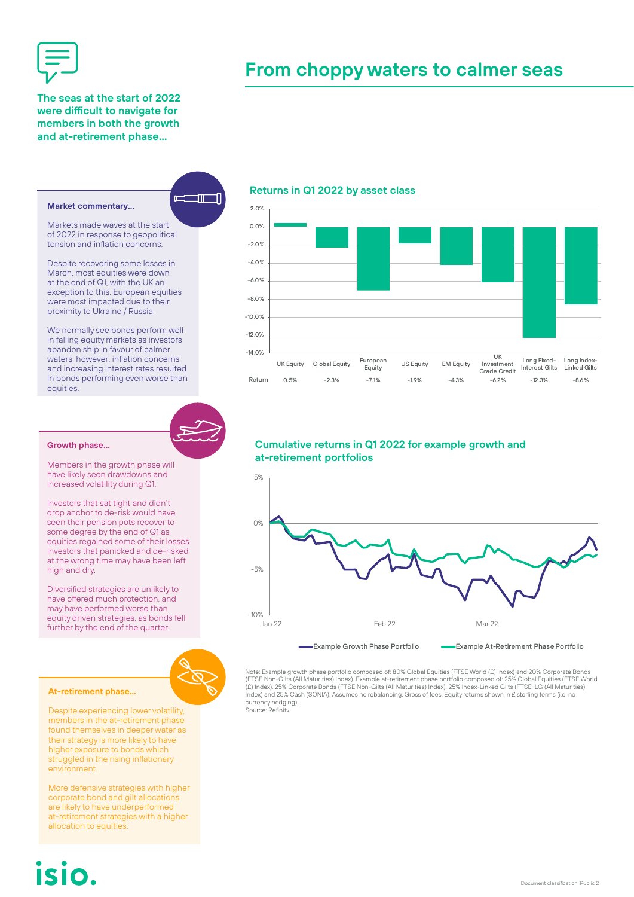

### **From choppy waters to calmer seas**

#### **The seas at the start of 2022 were difficult to navigate for members in both the growth and at-retirement phase…**

#### **Market commentary…**

Markets made waves at the start of 2022 in response to geopolitical tension and inflation concerns.

Despite recovering some losses in March, most equities were down at the end of Q1, with the UK an exception to this. European equities were most impacted due to their proximity to Ukraine / Russia.

We normally see bonds perform well in falling equity markets as investors abandon ship in favour of calmer waters, however, inflation concerns and increasing interest rates resulted in bonds performing even worse than equities



#### **Growth phase…**

Members in the growth phase will have likely seen drawdowns and increased volatility during Q1.

Investors that sat tight and didn't drop anchor to de-risk would have seen their pension pots recover to some degree by the end of Q1 as equities regained some of their losses. Investors that panicked and de-risked at the wrong time may have been left high and dry.

Diversified strategies are unlikely to have offered much protection, and may have performed worse than equity driven strategies, as bonds fell further by the end of the quarter.



#### **At-retirement phase…**

Despite experiencing lower volatility, members in the at-retirement phase found themselves in deeper water as their strategy is more likely to have higher exposure to bonds which struggled in the rising inflationary environment.

More defensive strategies with higher corporate bond and gilt allocations are likely to have underperformed at-retirement strategies with a higher

#### **Returns in Q1 2022 by asset class**



#### **Cumulative returns in Q1 2022 for example growth and**   $\blacksquare$ **at-retirement portfolios**



© Isio Group Limited/Isio Services Limited 2021. All rights reserved Document Classification: Confidential | 1 Note: Example growth phase portfolio composed of: 80% Global Equities (FTSE World (£) Index) and 20% Corporate Bonds<br>(FTSE Non-Gilts (All Maturities) Index). Example at-retirement phase portfolio composed of: 25% Global Eq (£) Index), 25% Corporate Bonds (FTSE Non-Gilts (All Maturities) Index), 25% Index-Linked Gilts (FTSE ILG (All Maturities) Index) and 25% Cash (SONIA). Assumes no rebalancing. Gross of fees. Equity returns shown in £ sterling terms (i.e. no currency hedging). Source: Refinitv.

allocation to equities.

isio.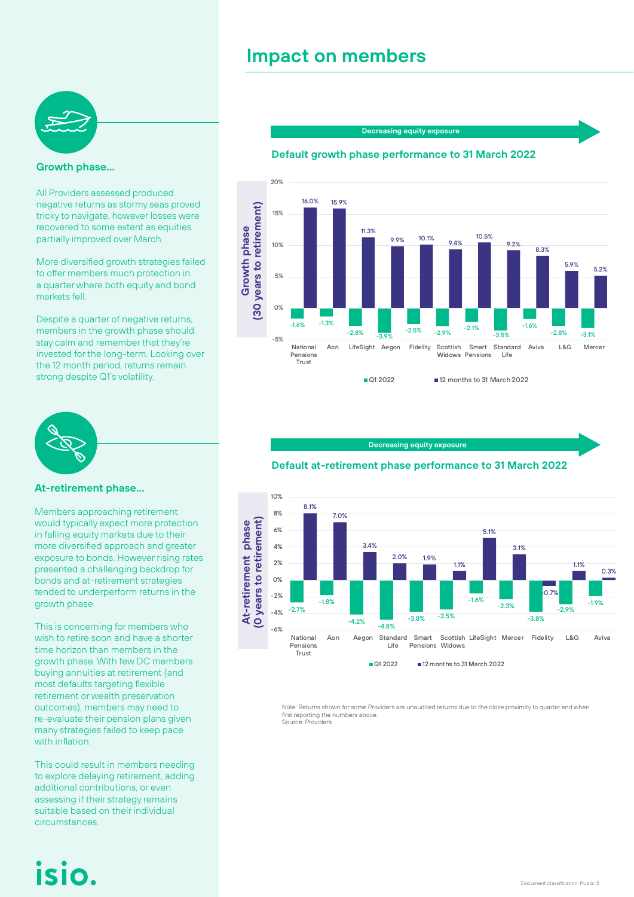### **Impact on members**



#### **Growth phase…**

All Providers assessed produced negative returns as stormy seas proved tricky to navigate, however losses were recovered to some extent as equities partially improved over March.

More diversified growth strategies failed to offer members much protection in a quarter where both equity and bond markets fell.

Despite a quarter of negative returns, members in the growth phase should stay calm and remember that they're invested for the long-term. Looking over the 12 month period, returns remain strong despite Q1's volatility.



#### **At-retirement phase…**

Members approaching retirement would typically expect more protection in falling equity markets due to their more diversified approach and greater exposure to bonds. However rising rates presented a challenging backdrop for bonds and at-retirement strategies tended to underperform returns in the growth phase.

© Isio Group Limited/Isio Services Limited 2021. All rights reserved Document Classification: Confidential | 1 This is concerning for members who wish to retire soon and have a shorter time horizon than members in the growth phase. With few DC members buying annuities at retirement (and most defaults targeting flexible retirement or wealth preservation outcomes), members may need to re-evaluate their pension plans given many strategies failed to keep pace with inflation.

This could result in members needing to explore delaying retirement, adding additional contributions, or even assessing if their strategy remains suitable based on their individual circumstances.

**Decreasing equity exposure**

#### **Default growth phase performance to 31 March 2022**



**Decreasing equity exposure**

#### **Default at-retirement phase performance to 31 March 2022**



Note: Returns shown for some Providers are unaudited returns due to the close proximity to quarter end when first reporting the numbers above. Source: Providers.

isio.